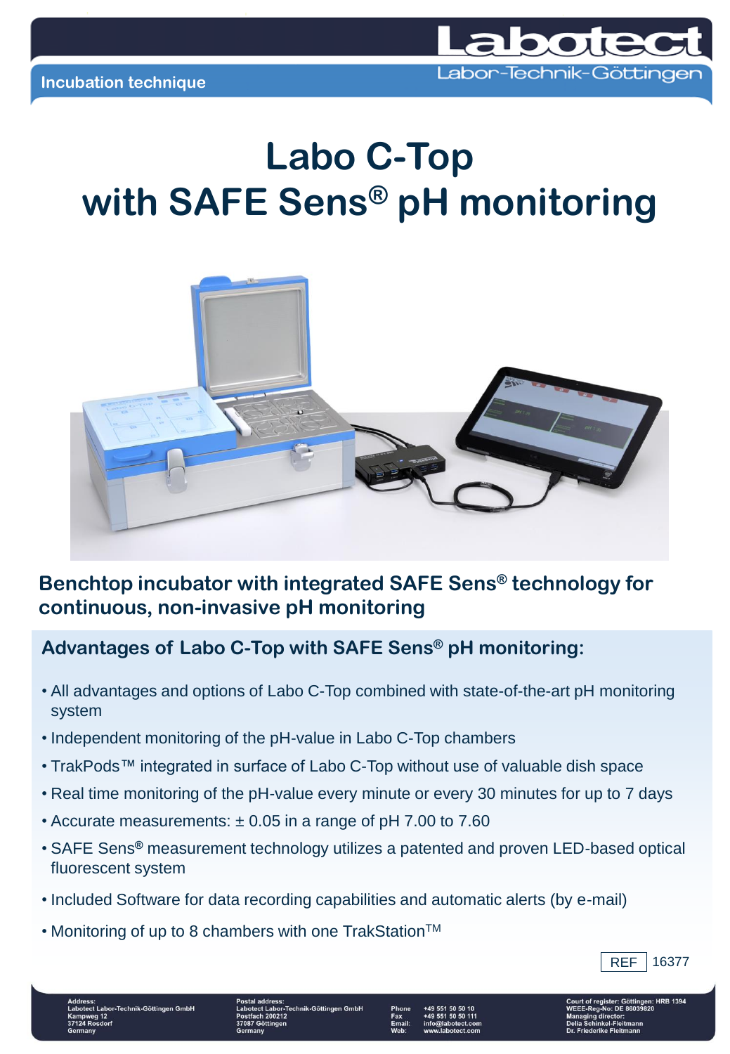

## **Labo C-Top with SAFE Sens® pH monitoring**



## **Benchtop incubator with integrated SAFE Sens® technology for continuous, non-invasive pH monitoring**

## **Advantages of Labo C-Top with SAFE Sens® pH monitoring:**

- All advantages and options of Labo C-Top combined with state-of-the-art pH monitoring system
- Independent monitoring of the pH-value in Labo C-Top chambers
- TrakPods™ integrated in surface of Labo C-Top without use of valuable dish space
- Real time monitoring of the pH-value every minute or every 30 minutes for up to 7 days
- Accurate measurements: ± 0.05 in a range of pH 7.00 to 7.60
- SAFE Sens**®** measurement technology utilizes a patented and proven LED-based optical fluorescent system
- Included Software for data recording capabilities and automatic alerts (by e-mail)
- Monitoring of up to 8 chambers with one TrakStation<sup>TM</sup>



hnik-Göttingen G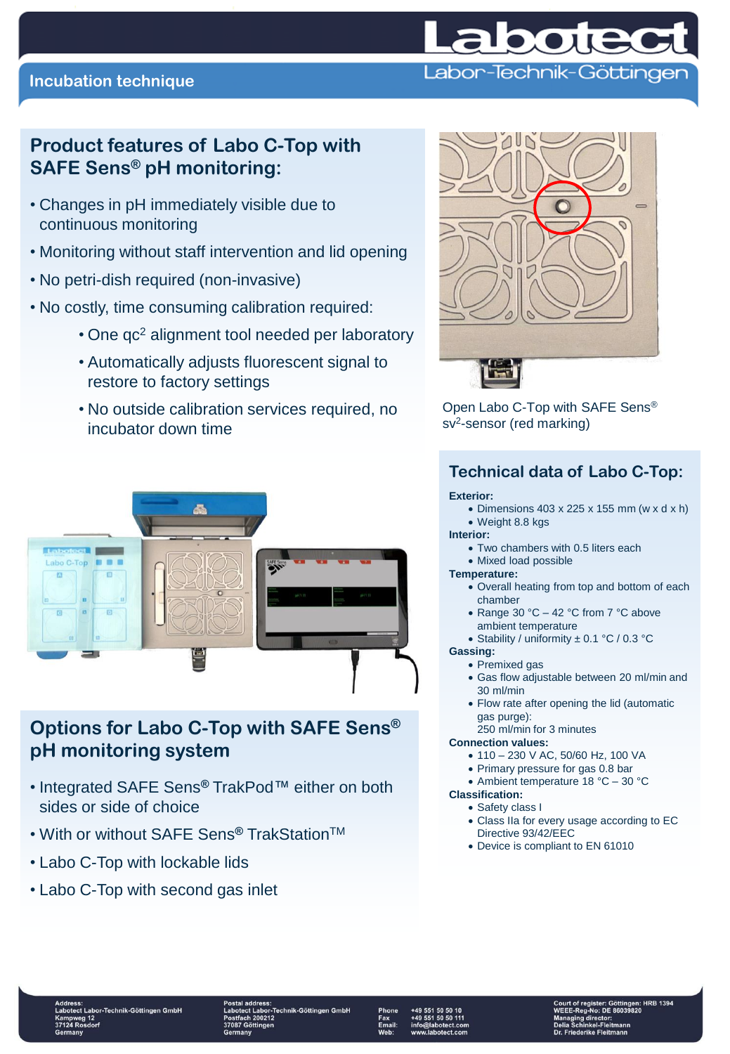

## **Incubation technique**

## **Product features of Labo C-Top with SAFE Sens® pH monitoring:**

- Changes in pH immediately visible due to continuous monitoring
- Monitoring without staff intervention and lid opening
- No petri-dish required (non-invasive)
- No costly, time consuming calibration required:
	- One qc<sup>2</sup> alignment tool needed per laboratory
	- Automatically adjusts fluorescent signal to restore to factory settings
	- No outside calibration services required, no incubator down time



## **Options for Labo C-Top with SAFE Sens® pH monitoring system**

- Integrated SAFE Sens**®** TrakPod™ either on both sides or side of choice
- With or without SAFE Sens**®** TrakStationTM
- Labo C-Top with lockable lids
- Labo C-Top with second gas inlet



Open Labo C-Top with SAFE Sens® sv<sup>2</sup>-sensor (red marking)

## **Technical data of Labo C-Top:**

### **Exterior:**

 $\bullet$  Dimensions 403 x 225 x 155 mm (w x d x h)

#### Weight 8.8 kgs **Interior:**

- Two chambers with 0.5 liters each
- Mixed load possible

### **Temperature:**

- Overall heating from top and bottom of each chamber
	- Range 30 °C 42 °C from 7 °C above ambient temperature
	- Stability / uniformity ± 0.1 °C / 0.3 °C

### **Gassing:**

- Premixed gas
- Gas flow adjustable between 20 ml/min and 30 ml/min
- Flow rate after opening the lid (automatic gas purge):

### 250 ml/min for 3 minutes

### **Connection values:**

- 110 230 V AC, 50/60 Hz, 100 VA
- Primary pressure for gas 0.8 bar

### Ambient temperature 18 °C – 30 °C **Classification:**

## Safety class I

- Class IIa for every usage according to EC Directive 93/42/EEC
- Device is compliant to EN 61010

or-Technik-Göttingen GmbH

.<br>-Technik-Göttingen GmbH 10212



 $: HRB$  1394